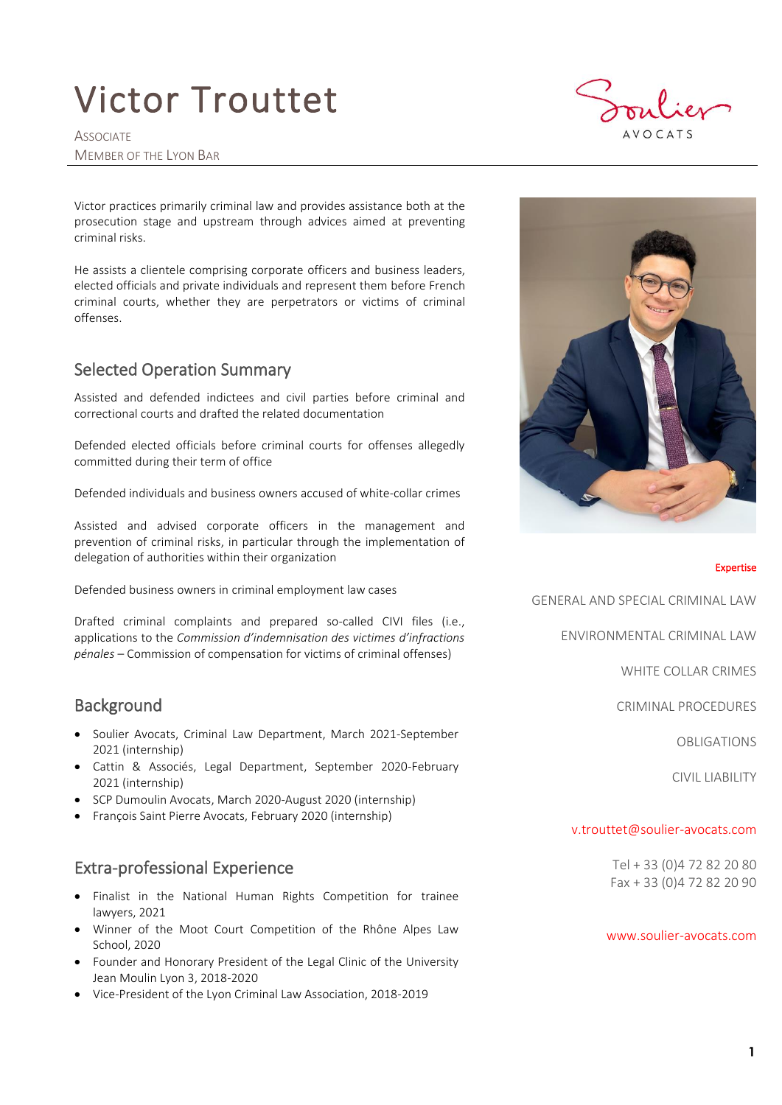## Victor Trouttet

**ASSOCIATE** MEMBER OF THE LYON BAR



Victor practices primarily criminal law and provides assistance both at the prosecution stage and upstream through advices aimed at preventing criminal risks.

He assists a clientele comprising corporate officers and business leaders, elected officials and private individuals and represent them before French criminal courts, whether they are perpetrators or victims of criminal offenses.

## Selected Operation Summary

Assisted and defended indictees and civil parties before criminal and correctional courts and drafted the related documentation

Defended elected officials before criminal courts for offenses allegedly committed during their term of office

Defended individuals and business owners accused of white-collar crimes

Assisted and advised corporate officers in the management and prevention of criminal risks, in particular through the implementation of delegation of authorities within their organization

Defended business owners in criminal employment law cases

Drafted criminal complaints and prepared so-called CIVI files (i.e., applications to the *Commission d'indemnisation des victimes d'infractions pénales* – Commission of compensation for victims of criminal offenses)

## **Background**

- Soulier Avocats, Criminal Law Department, March 2021-September 2021 (internship)
- Cattin & Associés, Legal Department, September 2020-February 2021 (internship)
- SCP Dumoulin Avocats, March 2020-August 2020 (internship)
- François Saint Pierre Avocats, February 2020 (internship)

## Extra-professional Experience

- Finalist in the National Human Rights Competition for trainee lawyers, 2021
- Winner of the Moot Court Competition of the Rhône Alpes Law School, 2020
- Founder and Honorary President of the Legal Clinic of the University Jean Moulin Lyon 3, 2018-2020
- Vice-President of the Lyon Criminal Law Association, 2018-2019



#### Expertise

GENERAL AND SPECIAL CRIMINAL LAW

ENVIRONMENTAL CRIMINAL LAW

WHITE COLLAR CRIMES

CRIMINAL PROCEDURES

OBLIGATIONS

CIVIL LIABILITY

### [v.trouttet@soulier-avocats.com](mailto:v.trouttet@soulier-avocats.com)

Tel + 33 (0)4 72 82 20 80 Fax + 33 (0)4 72 82 20 90

#### [www.soulier-avocats.com](http://www.soulier-avocats.com/)